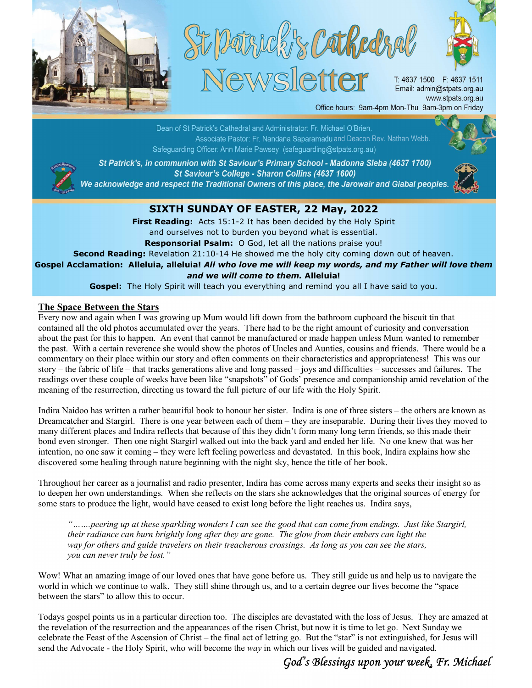



T. 4637 1500 F: 4637 1511 Email: admin@stpats.org.au www.stpats.org.au

Office hours: 9am-4pm Mon-Thu 9am-3pm on Friday

Dean of St Patrick's Cathedral and Administrator: Fr. Michael O'Brien. Associate Pastor: Fr. Nandana Saparamadu and Deacon Rev. Nathan Webb. Safeguarding Officer: Ann Marie Pawsey (safeguarding@stpats.org.au)



St Patrick's, in communion with St Saviour's Primary School - Madonna Sleba (4637 1700) St Saviour's College - Sharon Collins (4637 1600) We acknowledge and respect the Traditional Owners of this place, the Jarowair and Giabal peoples.



## SIXTH SUNDAY OF EASTER, 22 May, 2022

First Reading: Acts 15:1-2 It has been decided by the Holy Spirit and ourselves not to burden you beyond what is essential. Responsorial Psalm: O God, let all the nations praise you!

Second Reading: Revelation 21:10-14 He showed me the holy city coming down out of heaven.

Gospel Acclamation: Alleluia, alleluia! All who love me will keep my words, and my Father will love them and we will come to them. Alleluia!

Gospel: The Holy Spirit will teach you everything and remind you all I have said to you.

## The Space Between the Stars

Every now and again when I was growing up Mum would lift down from the bathroom cupboard the biscuit tin that contained all the old photos accumulated over the years. There had to be the right amount of curiosity and conversation about the past for this to happen. An event that cannot be manufactured or made happen unless Mum wanted to remember the past. With a certain reverence she would show the photos of Uncles and Aunties, cousins and friends. There would be a commentary on their place within our story and often comments on their characteristics and appropriateness! This was our story – the fabric of life – that tracks generations alive and long passed – joys and difficulties – successes and failures. The readings over these couple of weeks have been like "snapshots" of Gods' presence and companionship amid revelation of the meaning of the resurrection, directing us toward the full picture of our life with the Holy Spirit.

Indira Naidoo has written a rather beautiful book to honour her sister. Indira is one of three sisters – the others are known as Dreamcatcher and Stargirl. There is one year between each of them – they are inseparable. During their lives they moved to many different places and Indira reflects that because of this they didn't form many long term friends, so this made their bond even stronger. Then one night Stargirl walked out into the back yard and ended her life. No one knew that was her intention, no one saw it coming – they were left feeling powerless and devastated. In this book, Indira explains how she discovered some healing through nature beginning with the night sky, hence the title of her book.

Throughout her career as a journalist and radio presenter, Indira has come across many experts and seeks their insight so as to deepen her own understandings. When she reflects on the stars she acknowledges that the original sources of energy for some stars to produce the light, would have ceased to exist long before the light reaches us. Indira says,

"…….peering up at these sparkling wonders I can see the good that can come from endings. Just like Stargirl, their radiance can burn brightly long after they are gone. The glow from their embers can light the way for others and guide travelers on their treacherous crossings. As long as you can see the stars, you can never truly be lost."

Wow! What an amazing image of our loved ones that have gone before us. They still guide us and help us to navigate the world in which we continue to walk. They still shine through us, and to a certain degree our lives become the "space between the stars" to allow this to occur.

Todays gospel points us in a particular direction too. The disciples are devastated with the loss of Jesus. They are amazed at the revelation of the resurrection and the appearances of the risen Christ, but now it is time to let go. Next Sunday we celebrate the Feast of the Ascension of Christ – the final act of letting go. But the "star" is not extinguished, for Jesus will send the Advocate - the Holy Spirit, who will become the way in which our lives will be guided and navigated.

## God's Blessings upon your week, Fr. Michael